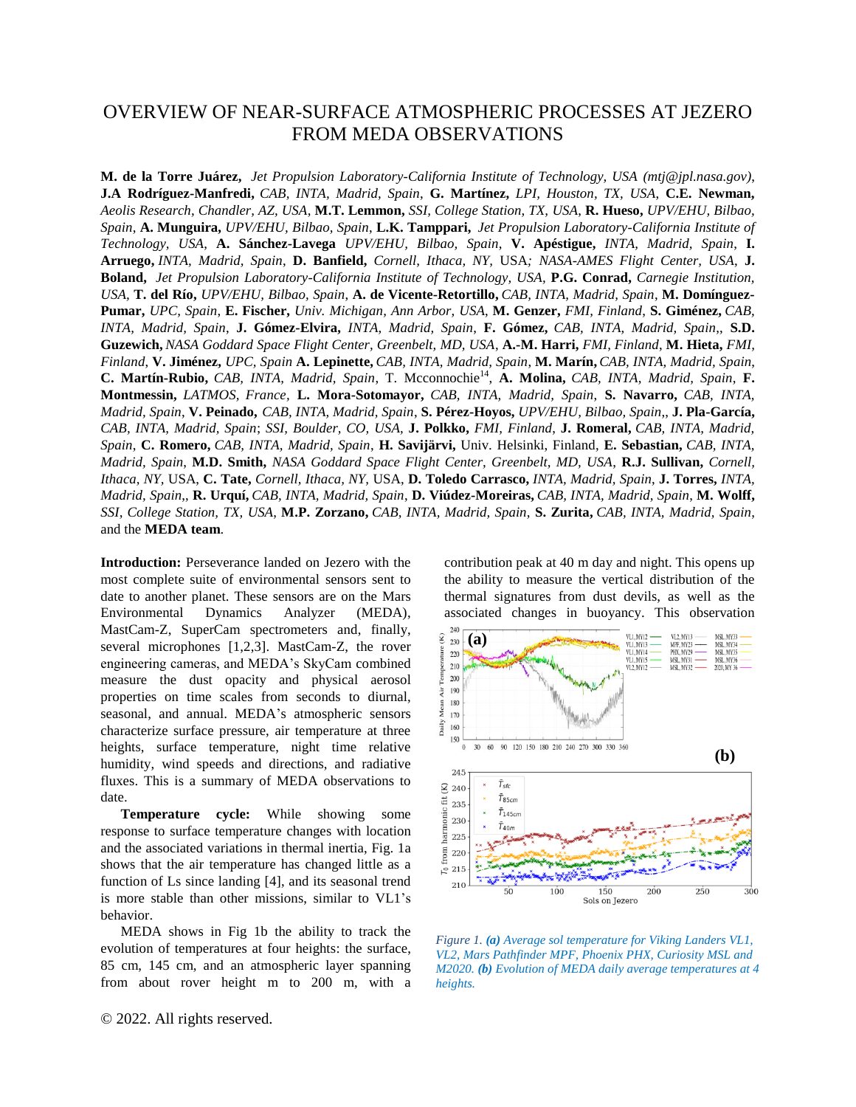## OVERVIEW OF NEAR-SURFACE ATMOSPHERIC PROCESSES AT JEZERO FROM MEDA OBSERVATIONS

**M. de la Torre Juárez,** *Jet Propulsion Laboratory-California Institute of Technology, USA (mtj@jpl.nasa.gov)*, **J.A Rodríguez-Manfredi,** *CAB, INTA, Madrid, Spain*, **G. Martínez,** *LPI, Houston, TX, USA*, **C.E. Newman,** *Aeolis Research, Chandler, AZ, USA*, **M.T. Lemmon,** *SSI, College Station, TX, USA*, **R. Hueso,** *UPV/EHU, Bilbao, Spain*, **A. Munguira,** *UPV/EHU, Bilbao, Spain*, **L.K. Tamppari,** *Jet Propulsion Laboratory-California Institute of Technology, USA*, **A. Sánchez-Lavega** *UPV/EHU, Bilbao, Spain*, **V. Apéstigue,** *INTA, Madrid, Spain*, **I. Arruego,** *INTA, Madrid, Spain*, **D. Banfield,** *Cornell, Ithaca, NY,* USA*; NASA-AMES Flight Center, USA*, **J. Boland,** *Jet Propulsion Laboratory-California Institute of Technology, USA,* **P.G. Conrad,** *Carnegie Institution, USA,* **T. del Río,** *UPV/EHU, Bilbao, Spain*, **A. de Vicente-Retortillo,** *CAB, INTA, Madrid, Spain*, **M. Domínguez-Pumar,** *UPC, Spain*, **E. Fischer,** *Univ. Michigan, Ann Arbor, USA*, **M. Genzer,** *FMI, Finland*, **S. Giménez,** *CAB, INTA, Madrid, Spain*, **J. Gómez-Elvira,** *INTA, Madrid, Spain*, **F. Gómez,** *CAB, INTA, Madrid, Spain*,, **S.D. Guzewich,** *NASA Goddard Space Flight Center, Greenbelt, MD, USA*, **A.-M. Harri,** *FMI, Finland*, **M. Hieta,** *FMI, Finland*, **V. Jiménez,** *UPC, Spain* **A. Lepinette,** *CAB, INTA, Madrid, Spain*, **M. Marín,** *CAB, INTA, Madrid, Spain*, C. Martín-Rubio, CAB, INTA, Madrid, Spain, T. Mcconnochie<sup>14</sup>, A. Molina, CAB, INTA, Madrid, Spain, F. **Montmessin,** *LATMOS, France,* **L. Mora-Sotomayor,** *CAB, INTA, Madrid, Spain*, **S. Navarro,** *CAB, INTA, Madrid, Spain*, **V. Peinado,** *CAB, INTA, Madrid, Spain*, **S. Pérez-Hoyos,** *UPV/EHU, Bilbao, Spain*,, **J. Pla-García,** *CAB, INTA, Madrid, Spain*; *SSI, Boulder, CO, USA,* **J. Polkko,** *FMI, Finland*, **J. Romeral,** *CAB, INTA, Madrid, Spain*, **C. Romero,** *CAB, INTA, Madrid, Spain*, **H. Savijärvi,** Univ. Helsinki, Finland, **E. Sebastian,** *CAB, INTA, Madrid, Spain*, **M.D. Smith,** *NASA Goddard Space Flight Center, Greenbelt, MD, USA*, **R.J. Sullivan,** *Cornell, Ithaca, NY,* USA, **C. Tate,** *Cornell, Ithaca, NY,* USA, **D. Toledo Carrasco,** *INTA, Madrid, Spain*, **J. Torres,** *INTA, Madrid, Spain*,, **R. Urquí,** *CAB, INTA, Madrid, Spain*, **D. Viúdez-Moreiras,** *CAB, INTA, Madrid, Spain*, **M. Wolff,** *SSI, College Station, TX, USA*, **M.P. Zorzano,** *CAB, INTA, Madrid, Spain*, **S. Zurita,** *CAB, INTA, Madrid, Spain*, and the **MEDA team**.

**Introduction:** Perseverance landed on Jezero with the most complete suite of environmental sensors sent to date to another planet. These sensors are on the Mars Environmental Dynamics Analyzer (MEDA), MastCam-Z, SuperCam spectrometers and, finally, several microphones [1,2,3]. MastCam-Z, the rover engineering cameras, and MEDA's SkyCam combined measure the dust opacity and physical aerosol properties on time scales from seconds to diurnal, seasonal, and annual. MEDA's atmospheric sensors characterize surface pressure, air temperature at three heights, surface temperature, night time relative humidity, wind speeds and directions, and radiative fluxes. This is a summary of MEDA observations to date.

**Temperature cycle:** While showing some response to surface temperature changes with location and the associated variations in thermal inertia, Fig. 1a shows that the air temperature has changed little as a function of Ls since landing [4], and its seasonal trend is more stable than other missions, similar to VL1's behavior.

MEDA shows in Fig 1b the ability to track the evolution of temperatures at four heights: the surface, 85 cm, 145 cm, and an atmospheric layer spanning from about rover height m to 200 m, with a contribution peak at 40 m day and night. This opens up the ability to measure the vertical distribution of the thermal signatures from dust devils, as well as the associated changes in buoyancy. This observation



*Figure 1. (a) Average sol temperature for Viking Landers VL1, VL2, Mars Pathfinder MPF, Phoenix PHX, Curiosity MSL and M2020. (b) Evolution of MEDA daily average temperatures at 4 heights.*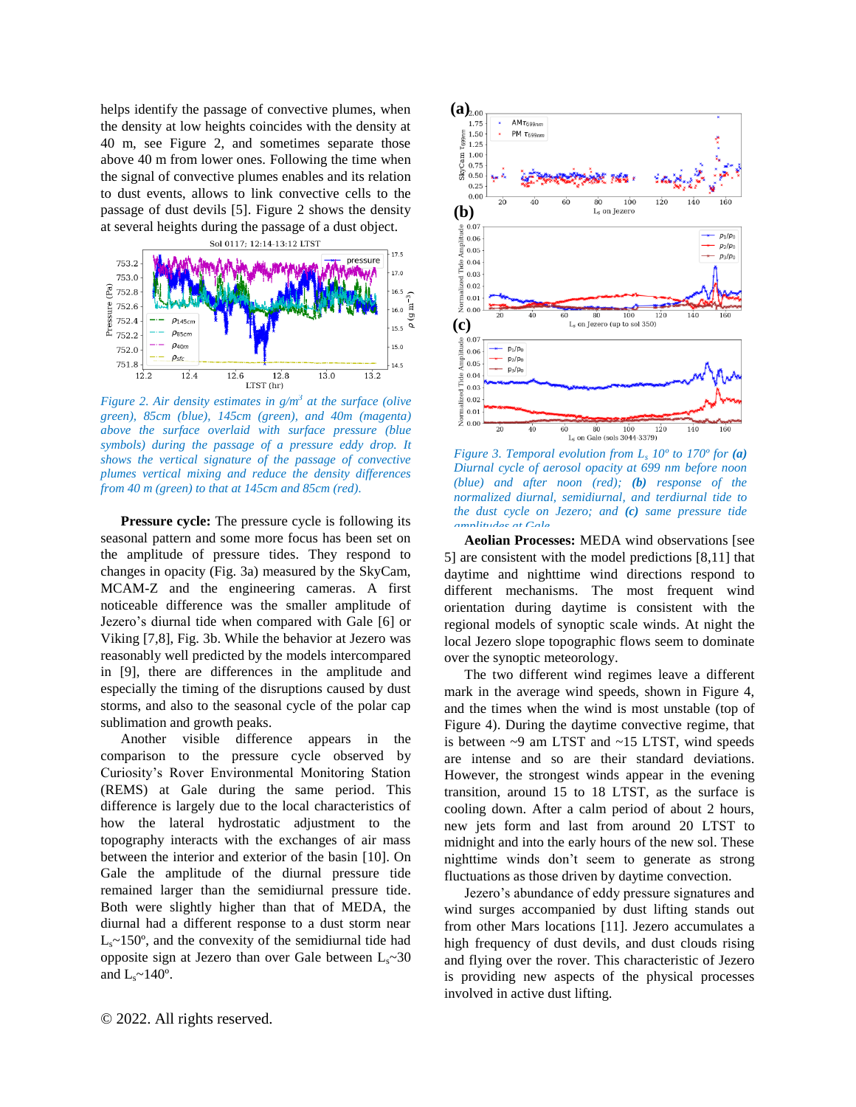helps identify the passage of convective plumes, when the density at low heights coincides with the density at 40 m, see Figure 2, and sometimes separate those above 40 m from lower ones. Following the time when the signal of convective plumes enables and its relation to dust events, allows to link convective cells to the passage of dust devils [5]. Figure 2 shows the density at several heights during the passage of a dust object.



*Figure 2. Air density estimates in g/m<sup>3</sup> at the surface (olive green), 85cm (blue), 145cm (green), and 40m (magenta) above the surface overlaid with surface pressure (blue symbols) during the passage of a pressure eddy drop. It shows the vertical signature of the passage of convective plumes vertical mixing and reduce the density differences from 40 m (green) to that at 145cm and 85cm (red).*

**Pressure cycle:** The pressure cycle is following its seasonal pattern and some more focus has been set on the amplitude of pressure tides. They respond to changes in opacity (Fig. 3a) measured by the SkyCam, MCAM-Z and the engineering cameras. A first noticeable difference was the smaller amplitude of Jezero's diurnal tide when compared with Gale [6] or Viking [7,8], Fig. 3b. While the behavior at Jezero was reasonably well predicted by the models intercompared in [9], there are differences in the amplitude and especially the timing of the disruptions caused by dust storms, and also to the seasonal cycle of the polar cap sublimation and growth peaks.

Another visible difference appears in the comparison to the pressure cycle observed by Curiosity's Rover Environmental Monitoring Station (REMS) at Gale during the same period. This difference is largely due to the local characteristics of how the lateral hydrostatic adjustment to the topography interacts with the exchanges of air mass between the interior and exterior of the basin [10]. On Gale the amplitude of the diurnal pressure tide remained larger than the semidiurnal pressure tide. Both were slightly higher than that of MEDA, the diurnal had a different response to a dust storm near  $L<sub>s</sub>$ ~150°, and the convexity of the semidiurnal tide had opposite sign at Jezero than over Gale between  $L_s \sim 30$ and  $L_s \sim 140^\circ$ .



*Figure 3. Temporal evolution from L<sup>s</sup> 10º to 170º for (a) Diurnal cycle of aerosol opacity at 699 nm before noon (blue) and after noon (red); (b) response of the normalized diurnal, semidiurnal, and terdiurnal tide to the dust cycle on Jezero; and (c) same pressure tide amplitudes at Gale.*

**Aeolian Processes:** MEDA wind observations [see 5] are consistent with the model predictions [8,11] that daytime and nighttime wind directions respond to different mechanisms. The most frequent wind orientation during daytime is consistent with the regional models of synoptic scale winds. At night the local Jezero slope topographic flows seem to dominate over the synoptic meteorology.

The two different wind regimes leave a different mark in the average wind speeds, shown in Figure 4, and the times when the wind is most unstable (top of Figure 4). During the daytime convective regime, that is between ~9 am LTST and ~15 LTST, wind speeds are intense and so are their standard deviations. However, the strongest winds appear in the evening transition, around 15 to 18 LTST, as the surface is cooling down. After a calm period of about 2 hours, new jets form and last from around 20 LTST to midnight and into the early hours of the new sol. These nighttime winds don't seem to generate as strong fluctuations as those driven by daytime convection.

Jezero's abundance of eddy pressure signatures and wind surges accompanied by dust lifting stands out from other Mars locations [11]. Jezero accumulates a high frequency of dust devils, and dust clouds rising and flying over the rover. This characteristic of Jezero is providing new aspects of the physical processes involved in active dust lifting.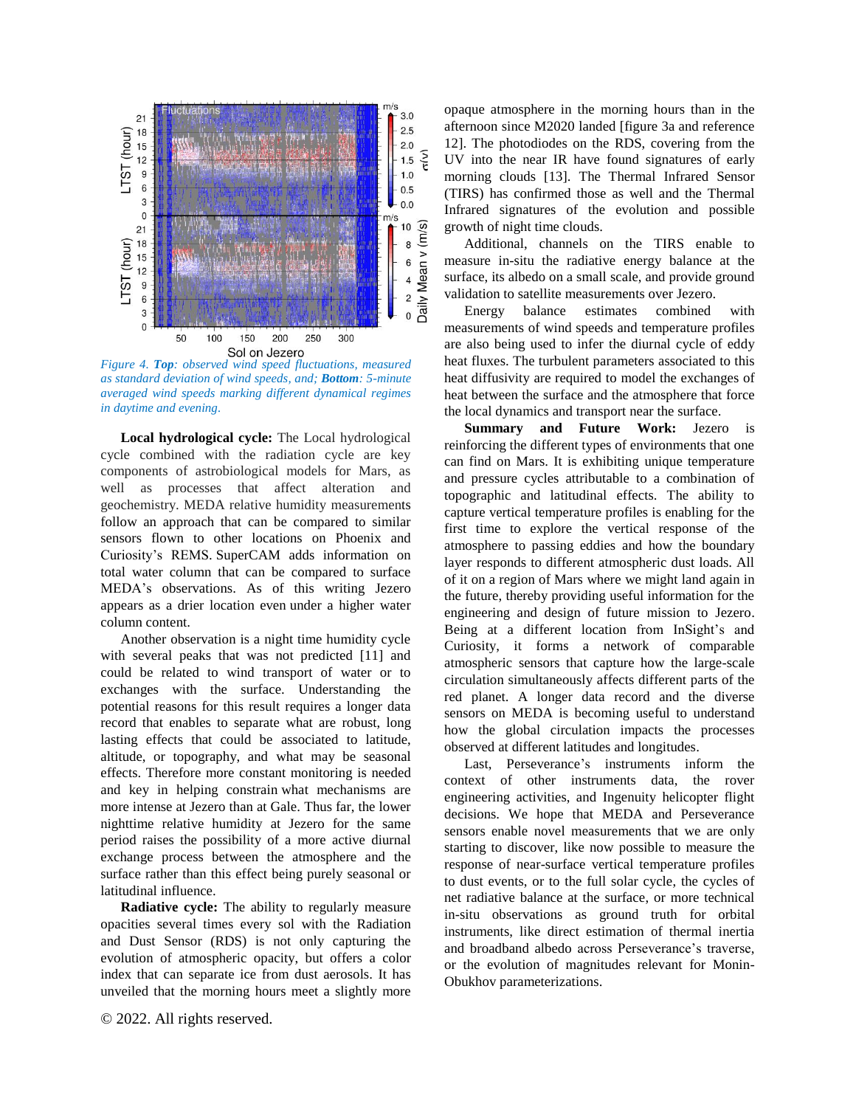

*as standard deviation of wind speeds, and; Bottom: 5-minute averaged wind speeds marking different dynamical regimes in daytime and evening.*

**Local hydrological cycle:** The Local hydrological cycle combined with the radiation cycle are key components of astrobiological models for Mars, as well as processes that affect alteration and geochemistry. MEDA relative humidity measurements follow an approach that can be compared to similar sensors flown to other locations on Phoenix and Curiosity's REMS. SuperCAM adds information on total water column that can be compared to surface MEDA's observations. As of this writing Jezero appears as a drier location even under a higher water column content.

Another observation is a night time humidity cycle with several peaks that was not predicted [11] and could be related to wind transport of water or to exchanges with the surface. Understanding the potential reasons for this result requires a longer data record that enables to separate what are robust, long lasting effects that could be associated to latitude, altitude, or topography, and what may be seasonal effects. Therefore more constant monitoring is needed and key in helping constrain what mechanisms are more intense at Jezero than at Gale. Thus far, the lower nighttime relative humidity at Jezero for the same period raises the possibility of a more active diurnal exchange process between the atmosphere and the surface rather than this effect being purely seasonal or latitudinal influence.

**Radiative cycle:** The ability to regularly measure opacities several times every sol with the Radiation and Dust Sensor (RDS) is not only capturing the evolution of atmospheric opacity, but offers a color index that can separate ice from dust aerosols. It has unveiled that the morning hours meet a slightly more

opaque atmosphere in the morning hours than in the afternoon since M2020 landed [figure 3a and reference 12]. The photodiodes on the RDS, covering from the UV into the near IR have found signatures of early morning clouds [13]. The Thermal Infrared Sensor (TIRS) has confirmed those as well and the Thermal Infrared signatures of the evolution and possible growth of night time clouds.

Additional, channels on the TIRS enable to measure in-situ the radiative energy balance at the surface, its albedo on a small scale, and provide ground validation to satellite measurements over Jezero.

Energy balance estimates combined with measurements of wind speeds and temperature profiles are also being used to infer the diurnal cycle of eddy heat fluxes. The turbulent parameters associated to this heat diffusivity are required to model the exchanges of heat between the surface and the atmosphere that force the local dynamics and transport near the surface.

**Summary and Future Work:** Jezero is reinforcing the different types of environments that one can find on Mars. It is exhibiting unique temperature and pressure cycles attributable to a combination of topographic and latitudinal effects. The ability to capture vertical temperature profiles is enabling for the first time to explore the vertical response of the atmosphere to passing eddies and how the boundary layer responds to different atmospheric dust loads. All of it on a region of Mars where we might land again in the future, thereby providing useful information for the engineering and design of future mission to Jezero. Being at a different location from InSight's and Curiosity, it forms a network of comparable atmospheric sensors that capture how the large-scale circulation simultaneously affects different parts of the red planet. A longer data record and the diverse sensors on MEDA is becoming useful to understand how the global circulation impacts the processes observed at different latitudes and longitudes.

Last, Perseverance's instruments inform the context of other instruments data, the rover engineering activities, and Ingenuity helicopter flight decisions. We hope that MEDA and Perseverance sensors enable novel measurements that we are only starting to discover, like now possible to measure the response of near-surface vertical temperature profiles to dust events, or to the full solar cycle, the cycles of net radiative balance at the surface, or more technical in-situ observations as ground truth for orbital instruments, like direct estimation of thermal inertia and broadband albedo across Perseverance's traverse, or the evolution of magnitudes relevant for Monin-Obukhov parameterizations.